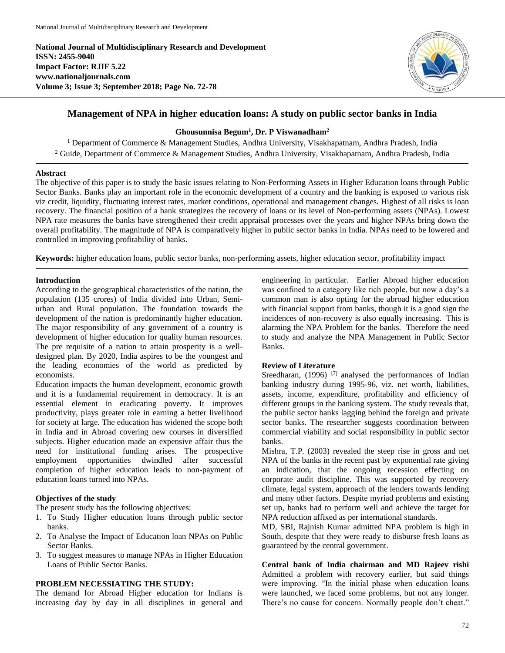**National Journal of Multidisciplinary Research and Development ISSN: 2455-9040 Impact Factor: RJIF 5.22 www.nationaljournals.com Volume 3; Issue 3; September 2018; Page No. 72-78**



# **Management of NPA in higher education loans: A study on public sector banks in India**

# **Ghousunnisa Begum<sup>1</sup> , Dr. P Viswanadham<sup>2</sup>**

<sup>1</sup> Department of Commerce & Management Studies, Andhra University, Visakhapatnam, Andhra Pradesh, India <sup>2</sup> Guide, Department of Commerce & Management Studies, Andhra University, Visakhapatnam, Andhra Pradesh, India

# **Abstract**

The objective of this paper is to study the basic issues relating to Non-Performing Assets in Higher Education loans through Public Sector Banks. Banks play an important role in the economic development of a country and the banking is exposed to various risk viz credit, liquidity, fluctuating interest rates, market conditions, operational and management changes. Highest of all risks is loan recovery. The financial position of a bank strategizes the recovery of loans or its level of Non-performing assets (NPAs). Lowest NPA rate measures the banks have strengthened their credit appraisal processes over the years and higher NPAs bring down the overall profitability. The magnitude of NPA is comparatively higher in public sector banks in India. NPAs need to be lowered and controlled in improving profitability of banks.

**Keywords:** higher education loans, public sector banks, non-performing assets, higher education sector, profitability impact

# **Introduction**

According to the geographical characteristics of the nation, the population (135 crores) of India divided into Urban, Semiurban and Rural population. The foundation towards the development of the nation is predominantly higher education. The major responsibility of any government of a country is development of higher education for quality human resources. The pre requisite of a nation to attain prosperity is a welldesigned plan. By 2020, India aspires to be the youngest and the leading economies of the world as predicted by economists.

Education impacts the human development, economic growth and it is a fundamental requirement in democracy. It is an essential element in eradicating poverty. It improves productivity, plays greater role in earning a better livelihood for society at large. The education has widened the scope both in India and in Abroad covering new courses in diversified subjects. Higher education made an expensive affair thus the need for institutional funding arises. The prospective employment opportunities dwindled after successful completion of higher education leads to non-payment of education loans turned into NPAs.

# **Objectives of the study**

The present study has the following objectives:

- 1. To Study Higher education loans through public sector banks.
- 2. To Analyse the Impact of Education loan NPAs on Public Sector Banks.
- 3. To suggest measures to manage NPAs in Higher Education Loans of Public Sector Banks.

## **PROBLEM NECESSIATING THE STUDY:**

The demand for Abroad Higher education for Indians is increasing day by day in all disciplines in general and engineering in particular. Earlier Abroad higher education was confined to a category like rich people, but now a day's a common man is also opting for the abroad higher education with financial support from banks, though it is a good sign the incidences of non-recovery is also equally increasing. This is alarming the NPA Problem for the banks. Therefore the need to study and analyze the NPA Management in Public Sector Banks.

## **Review of Literature**

Sreedharan, (1996)<sup>[7]</sup> analysed the performances of Indian banking industry during 1995-96, viz. net worth, liabilities, assets, income, expenditure, profitability and efficiency of different groups in the banking system. The study reveals that, the public sector banks lagging behind the foreign and private sector banks. The researcher suggests coordination between commercial viability and social responsibility in public sector banks.

Mishra, T.P. (2003) revealed the steep rise in gross and net NPA of the banks in the recent past by exponential rate giving an indication, that the ongoing recession effecting on corporate audit discipline. This was supported by recovery climate, legal system, approach of the lenders towards lending and many other factors. Despite myriad problems and existing set up, banks had to perform well and achieve the target for NPA reduction affixed as per international standards.

MD, SBI, Rajnish Kumar admitted NPA problem is high in South, despite that they were ready to disburse fresh loans as guaranteed by the central government.

**Central bank of India chairman and MD Rajeev rishi** Admitted a problem with recovery earlier, but said things were improving. "In the initial phase when education loans were launched, we faced some problems, but not any longer. There's no cause for concern. Normally people don't cheat."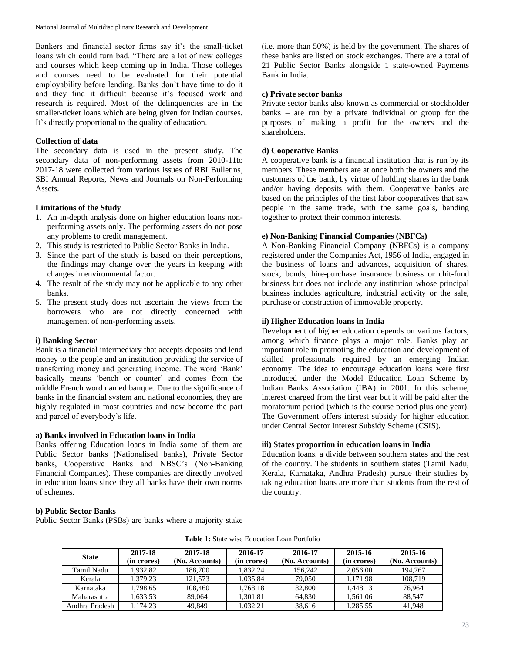Bankers and financial sector firms say it's the small-ticket loans which could turn bad. "There are a lot of new colleges and courses which keep coming up in India. Those colleges and courses need to be evaluated for their potential employability before lending. Banks don't have time to do it and they find it difficult because it's focused work and research is required. Most of the delinquencies are in the smaller-ticket loans which are being given for Indian courses. It's directly proportional to the quality of education.

## **Collection of data**

The secondary data is used in the present study. The secondary data of non-performing assets from 2010-11to 2017-18 were collected from various issues of RBI Bulletins, SBI Annual Reports, News and Journals on Non-Performing Assets.

## **Limitations of the Study**

- 1. An in-depth analysis done on higher education loans nonperforming assets only. The performing assets do not pose any problems to credit management.
- 2. This study is restricted to Public Sector Banks in India.
- 3. Since the part of the study is based on their perceptions, the findings may change over the years in keeping with changes in environmental factor.
- 4. The result of the study may not be applicable to any other banks.
- 5. The present study does not ascertain the views from the borrowers who are not directly concerned with management of non-performing assets.

## **i) Banking Sector**

Bank is a financial intermediary that accepts deposits and lend money to the people and an institution providing the service of transferring money and generating income. The word 'Bank' basically means 'bench or counter' and comes from the middle French word named banque. Due to the significance of banks in the financial system and national economies, they are highly regulated in most countries and now become the part and parcel of everybody's life.

## **a) Banks involved in Education loans in India**

Banks offering Education loans in India some of them are Public Sector banks (Nationalised banks), Private Sector banks, Cooperative Banks and NBSC's (Non-Banking Financial Companies). These companies are directly involved in education loans since they all banks have their own norms of schemes.

(i.e. more than 50%) is held by the government. The shares of these banks are listed on stock exchanges. There are a total of 21 Public Sector Banks alongside 1 state-owned Payments Bank in India.

## **c) Private sector banks**

Private sector banks also known as commercial or stockholder banks – are run by a private individual or group for the purposes of making a profit for the owners and the shareholders.

# **d) Cooperative Banks**

A cooperative bank is a financial institution that is run by its members. These members are at once both the owners and the customers of the bank, by virtue of holding shares in the bank and/or having deposits with them. Cooperative banks are based on the principles of the first labor cooperatives that saw people in the same trade, with the same goals, banding together to protect their common interests.

# **e) Non-Banking Financial Companies (NBFCs)**

A Non-Banking Financial Company (NBFCs) is a company registered under the Companies Act, 1956 of India, engaged in the business of loans and advances, acquisition of shares, stock, bonds, hire-purchase insurance business or chit-fund business but does not include any institution whose principal business includes agriculture, industrial activity or the sale, purchase or construction of immovable property.

# **ii) Higher Education loans in India**

Development of higher education depends on various factors, among which finance plays a major role. Banks play an important role in promoting the education and development of skilled professionals required by an emerging Indian economy. The idea to encourage education loans were first introduced under the Model Education Loan Scheme by Indian Banks Association (IBA) in 2001. In this scheme, interest charged from the first year but it will be paid after the moratorium period (which is the course period plus one year). The Government offers interest subsidy for higher education under Central Sector Interest Subsidy Scheme (CSIS).

# **iii) States proportion in education loans in India**

Education loans, a divide between southern states and the rest of the country. The students in southern states (Tamil Nadu, Kerala, Karnataka, Andhra Pradesh) pursue their studies by taking education loans are more than students from the rest of the country.

# **b) Public Sector Banks**

Public Sector Banks (PSBs) are banks where a majority stake

| <b>State</b>   | 2017-18<br>(in crores) | 2017-18<br>(No. Accounts) | 2016-17<br>(in crores) | 2016-17<br>(No. Accounts) | 2015-16<br>(in crores) | 2015-16<br>(No. Accounts) |
|----------------|------------------------|---------------------------|------------------------|---------------------------|------------------------|---------------------------|
| Tamil Nadu     | 1.932.82               | 188.700                   | 1.832.24               | 156.242                   | 2,056.00               | 194.767                   |
| Kerala         | 1.379.23               | 121.573                   | 1.035.84               | 79,050                    | 1.171.98               | 108.719                   |
| Karnataka      | 1.798.65               | 108.460                   | 1.768.18               | 82,800                    | 1.448.13               | 76.964                    |
| Maharashtra    | .633.53                | 89,064                    | 1.301.81               | 64.830                    | 1.561.06               | 88.547                    |
| Andhra Pradesh | 1.174.23               | 49.849                    | 1.032.21               | 38.616                    | 1.285.55               | 41.948                    |

**Table 1:** State wise Education Loan Portfolio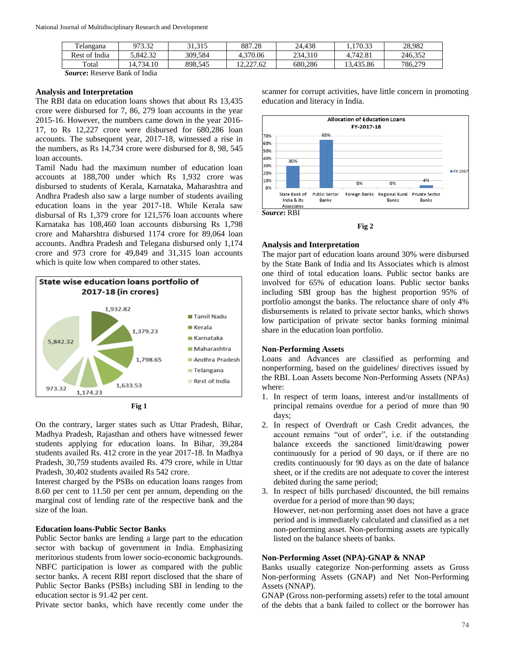| Telangana                     | 973.32   | 31.315  | 887.28     | 24.438  | 170.33    | 28.982  |
|-------------------------------|----------|---------|------------|---------|-----------|---------|
| <sup>c</sup> India<br>Rest of | 5.842.32 | 309.584 | 4.370.06   | 234.310 | 4.742.81  | 246.352 |
| Total                         | .734.10  | 898.545 | . 2.227.62 | 680.286 | 13.435.86 | 786,279 |

*Source***:** Reserve Bank of India

#### **Analysis and Interpretation**

The RBI data on education loans shows that about Rs 13,435 crore were disbursed for 7, 86, 279 loan accounts in the year 2015-16. However, the numbers came down in the year 2016- 17, to Rs 12,227 crore were disbursed for 680,286 loan accounts. The subsequent year, 2017-18, witnessed a rise in the numbers, as Rs 14,734 crore were disbursed for 8, 98, 545 loan accounts.

Tamil Nadu had the maximum number of education loan accounts at 188,700 under which Rs 1,932 crore was disbursed to students of Kerala, Karnataka, Maharashtra and Andhra Pradesh also saw a large number of students availing education loans in the year 2017-18. While Kerala saw disbursal of Rs 1,379 crore for 121,576 loan accounts where Karnataka has 108,460 loan accounts disbursing Rs 1,798 crore and Maharshtra disbursed 1174 crore for 89,064 loan accounts. Andhra Pradesh and Telegana disbursed only 1,174 crore and 973 crore for 49,849 and 31,315 loan accounts which is quite low when compared to other states.





On the contrary, larger states such as Uttar Pradesh, Bihar, Madhya Pradesh, Rajasthan and others have witnessed fewer students applying for education loans. In Bihar, 39,284 students availed Rs. 412 crore in the year 2017-18. In Madhya Pradesh, 30,759 students availed Rs. 479 crore, while in Uttar Pradesh, 30,402 students availed Rs 542 crore.

Interest charged by the PSBs on education loans ranges from 8.60 per cent to 11.50 per cent per annum, depending on the marginal cost of lending rate of the respective bank and the size of the loan.

#### **Education loans-Public Sector Banks**

Public Sector banks are lending a large part to the education sector with backup of government in India. Emphasizing meritorious students from lower socio-economic backgrounds. NBFC participation is lower as compared with the public sector banks. A recent RBI report disclosed that the share of Public Sector Banks (PSBs) including SBI in lending to the education sector is 91.42 per cent.

Private sector banks, which have recently come under the

scanner for corrupt activities, have little concern in promoting education and literacy in India.





### **Analysis and Interpretation**

The major part of education loans around 30% were disbursed by the State Bank of India and Its Associates which is almost one third of total education loans. Public sector banks are involved for 65% of education loans. Public sector banks including SBI group has the highest proportion 95% of portfolio amongst the banks. The reluctance share of only 4% disbursements is related to private sector banks, which shows low participation of private sector banks forming minimal share in the education loan portfolio.

#### **Non-Performing Assets**

Loans and Advances are classified as performing and nonperforming, based on the guidelines/ directives issued by the RBI. Loan Assets become Non-Performing Assets (NPAs) where:

- 1. In respect of term loans, interest and/or installments of principal remains overdue for a period of more than 90 days;
- 2. In respect of Overdraft or Cash Credit advances, the account remains "out of order", i.e. if the outstanding balance exceeds the sanctioned limit/drawing power continuously for a period of 90 days, or if there are no credits continuously for 90 days as on the date of balance sheet, or if the credits are not adequate to cover the interest debited during the same period;
- 3. In respect of bills purchased/ discounted, the bill remains overdue for a period of more than 90 days; However, net-non performing asset does not have a grace period and is immediately calculated and classified as a net non-performing asset. Non-performing assets are typically listed on the balance sheets of banks.

### **Non-Performing Asset (NPA)-GNAP & NNAP**

Banks usually categorize Non-performing assets as Gross Non-performing Assets (GNAP) and Net Non-Performing Assets (NNAP).

GNAP (Gross non-performing assets) refer to the total amount of the debts that a bank failed to collect or the borrower has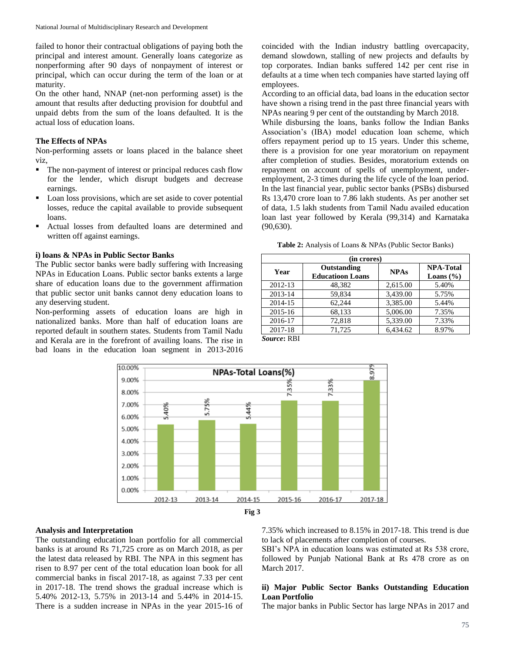failed to honor their contractual obligations of paying both the principal and interest amount. Generally loans categorize as nonperforming after 90 days of nonpayment of interest or principal, which can occur during the term of the loan or at maturity.

On the other hand, NNAP (net-non performing asset) is the amount that results after deducting provision for doubtful and unpaid debts from the sum of the loans defaulted. It is the actual loss of education loans.

### **The Effects of NPAs**

Non-performing assets or loans placed in the balance sheet viz,

- The non-payment of interest or principal reduces cash flow for the lender, which disrupt budgets and decrease earnings.
- Loan loss provisions, which are set aside to cover potential losses, reduce the capital available to provide subsequent loans.
- Actual losses from defaulted loans are determined and written off against earnings.

#### **i) loans & NPAs in Public Sector Banks**

The Public sector banks were badly suffering with Increasing NPAs in Education Loans. Public sector banks extents a large share of education loans due to the government affirmation that public sector unit banks cannot deny education loans to any deserving student.

Non-performing assets of education loans are high in nationalized banks. More than half of education loans are reported default in southern states. Students from Tamil Nadu and Kerala are in the forefront of availing loans. The rise in bad loans in the education loan segment in 2013-2016

coincided with the Indian industry battling overcapacity, demand slowdown, stalling of new projects and defaults by top corporates. Indian banks suffered 142 per cent rise in defaults at a time when tech companies have started laying off employees.

According to an official data, bad loans in the education sector have shown a rising trend in the past three financial years with NPAs nearing 9 per cent of the outstanding by March 2018.

While disbursing the loans, banks follow the Indian Banks Association's (IBA) model education loan scheme, which offers repayment period up to 15 years. Under this scheme, there is a provision for one year moratorium on repayment after completion of studies. Besides, moratorium extends on repayment on account of spells of unemployment, underemployment, 2-3 times during the life cycle of the loan period. In the last financial year, public sector banks (PSBs) disbursed Rs 13,470 crore loan to 7.86 lakh students. As per another set of data, 1.5 lakh students from Tamil Nadu availed education loan last year followed by Kerala (99,314) and Karnataka (90,630).

**Table 2:** Analysis of Loans & NPAs (Public Sector Banks)

| (in crores) |                                        |             |                                   |  |  |  |
|-------------|----------------------------------------|-------------|-----------------------------------|--|--|--|
| Year        | Outstanding<br><b>Educatioon Loans</b> | <b>NPAs</b> | <b>NPA-Total</b><br>Loans $(\% )$ |  |  |  |
| 2012-13     | 48.382                                 | 2,615.00    | 5.40%                             |  |  |  |
| 2013-14     | 59.834                                 | 3,439.00    | 5.75%                             |  |  |  |
| 2014-15     | 62.244                                 | 3,385.00    | 5.44%                             |  |  |  |
| 2015-16     | 68,133                                 | 5,006.00    | 7.35%                             |  |  |  |
| 2016-17     | 72,818                                 | 5,339.00    | 7.33%                             |  |  |  |
| 2017-18     | 71,725                                 | 6,434.62    | 8.97%                             |  |  |  |

*Source***:** RBI



#### **Analysis and Interpretation**

The outstanding education loan portfolio for all commercial banks is at around Rs 71,725 crore as on March 2018, as per the latest data released by RBI. The NPA in this segment has risen to 8.97 per cent of the total education loan book for all commercial banks in fiscal 2017-18, as against 7.33 per cent in 2017-18. The trend shows the gradual increase which is 5.40% 2012-13, 5.75% in 2013-14 and 5.44% in 2014-15. There is a sudden increase in NPAs in the year 2015-16 of 7.35% which increased to 8.15% in 2017-18. This trend is due to lack of placements after completion of courses.

SBI's NPA in education loans was estimated at Rs 538 crore, followed by Punjab National Bank at Rs 478 crore as on March 2017.

## **ii) Major Public Sector Banks Outstanding Education Loan Portfolio**

The major banks in Public Sector has large NPAs in 2017 and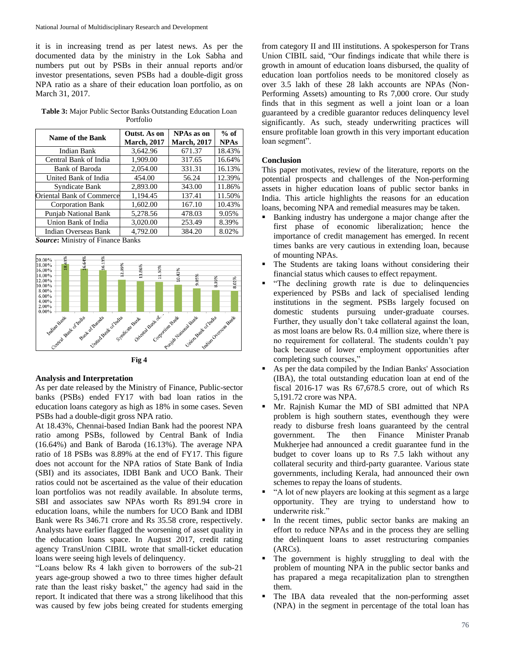it is in increasing trend as per latest news. As per the documented data by the ministry in the Lok Sabha and numbers put out by PSBs in their annual reports and/or investor presentations, seven PSBs had a double-digit gross NPA ratio as a share of their education loan portfolio, as on March 31, 2017.

**Table 3:** Major Public Sector Banks Outstanding Education Loan Portfolio

| <b>Name of the Bank</b>     | Outst. As on<br><b>March, 2017</b> | NPAs as on<br><b>March, 2017</b> | $%$ of<br><b>NPAs</b> |
|-----------------------------|------------------------------------|----------------------------------|-----------------------|
| Indian Bank                 | 3,642.96                           | 671.37                           | 18.43%                |
| Central Bank of India       | 1,909.00                           | 317.65                           | 16.64%                |
| Bank of Baroda              | 2,054.00                           | 331.31                           | 16.13%                |
| United Bank of India        | 454.00                             | 56.24                            | 12.39%                |
| Syndicate Bank              | 2,893.00                           | 343.00                           | 11.86%                |
| Oriental Bank of Commerce   | 1,194.45                           | 137.41                           | 11.50%                |
| <b>Corporation Bank</b>     | 1,602.00                           | 167.10                           | 10.43%                |
| <b>Punjab National Bank</b> | 5,278.56                           | 478.03                           | 9.05%                 |
| Union Bank of India         | 3.020.00                           | 253.49                           | 8.39%                 |
| Indian Overseas Bank        | 4,792.00                           | 384.20                           | 8.02%                 |

*Source***:** Ministry of Finance Banks





## **Analysis and Interpretation**

As per date released by the Ministry of Finance, Public-sector banks (PSBs) ended FY17 with bad loan ratios in the education loans category as high as 18% in some cases. Seven PSBs had a double-digit gross NPA ratio.

At 18.43%, Chennai-based Indian Bank had the poorest NPA ratio among PSBs, followed by Central Bank of India (16.64%) and Bank of Baroda (16.13%). The average NPA ratio of 18 PSBs was 8.89% at the end of FY17. This figure does not account for the NPA ratios of State Bank of India (SBI) and its associates, IDBI Bank and UCO Bank. Their ratios could not be ascertained as the value of their education loan portfolios was not readily available. In absolute terms, SBI and associates saw NPAs worth Rs 891.94 crore in education loans, while the numbers for UCO Bank and IDBI Bank were Rs 346.71 crore and Rs 35.58 crore, respectively. Analysts have earlier flagged the worsening of asset quality in the education loans space. In August 2017, credit rating agency TransUnion CIBIL wrote that small-ticket education loans were seeing high levels of delinquency.

"Loans below Rs 4 lakh given to borrowers of the sub-21 years age-group showed a two to three times higher default rate than the least risky basket," the agency had said in the report. It indicated that there was a strong likelihood that this was caused by few jobs being created for students emerging from category II and III institutions. A spokesperson for Trans Union CIBIL said, "Our findings indicate that while there is growth in amount of education loans disbursed, the quality of education loan portfolios needs to be monitored closely as over 3.5 lakh of these 28 lakh accounts are NPAs (Non-Performing Assets) amounting to Rs 7,000 crore. Our study finds that in this segment as well a joint loan or a loan guaranteed by a credible guarantor reduces delinquency level significantly. As such, steady underwriting practices will ensure profitable loan growth in this very important education loan segment".

## **Conclusion**

This paper motivates, review of the literature, reports on the potential prospects and challenges of the Non-performing assets in higher education loans of public sector banks in India. This article highlights the reasons for an education loans, becoming NPA and remedial measures may be taken.

- Banking industry has undergone a major change after the first phase of economic liberalization; hence the importance of credit management has emerged. In recent times banks are very cautious in extending loan, because of mounting NPAs.
- The Students are taking loans without considering their financial status which causes to effect repayment.
- "The declining growth rate is due to delinquencies experienced by PSBs and lack of specialised lending institutions in the segment. PSBs largely focused on domestic students pursuing under-graduate courses. Further, they usually don't take collateral against the loan, as most loans are below Rs. 0.4 million size, where there is no requirement for collateral. The students couldn't pay back because of lower employment opportunities after completing such courses,"
- As per the data compiled by the Indian Banks' Association (IBA), the total outstanding education loan at end of the fiscal 2016-17 was Rs 67,678.5 crore, out of which Rs 5,191.72 crore was NPA.
- Mr. Rajnish Kumar the MD of SBI admitted that NPA problem is high southern states, eventhough they were ready to disburse fresh loans guaranteed by the central government. The then Finance Minister Pranab Mukherjee had announced a credit guarantee fund in the budget to cover loans up to Rs 7.5 lakh without any collateral security and third-party guarantee. Various state governments, including Kerala, had announced their own schemes to repay the loans of students.
- "A lot of new players are looking at this segment as a large opportunity. They are trying to understand how to underwrite risk."
- In the recent times, public sector banks are making an effort to reduce NPAs and in the process they are selling the delinquent loans to asset restructuring companies (ARCs).
- The government is highly struggling to deal with the problem of mounting NPA in the public sector banks and has prapared a mega recapitalization plan to strengthen them.
- The IBA data revealed that the non-performing asset (NPA) in the segment in percentage of the total loan has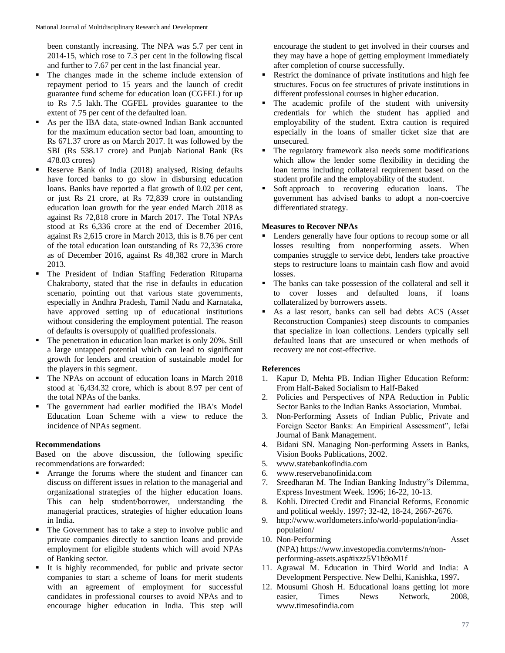been constantly increasing. The NPA was 5.7 per cent in 2014-15, which rose to 7.3 per cent in the following fiscal and further to 7.67 per cent in the last financial year.

- The changes made in the scheme include extension of repayment period to 15 years and the launch of credit guarantee fund scheme for education loan (CGFEL) for up to Rs 7.5 lakh. The CGFEL provides guarantee to the extent of 75 per cent of the defaulted loan.
- As per the IBA data, state-owned Indian Bank accounted for the maximum education sector bad loan, amounting to Rs 671.37 crore as on March 2017. It was followed by the SBI (Rs 538.17 crore) and Punjab National Bank (Rs 478.03 crores)
- Reserve Bank of India (2018) analysed, Rising defaults have forced banks to go slow in disbursing education loans. Banks have reported a flat growth of 0.02 per cent, or just Rs 21 crore, at Rs 72,839 crore in outstanding education loan growth for the year ended March 2018 as against Rs 72,818 crore in March 2017. The Total NPAs stood at Rs 6,336 crore at the end of December 2016, against Rs 2,615 crore in March 2013, this is 8.76 per cent of the total education loan outstanding of Rs 72,336 crore as of December 2016, against Rs 48,382 crore in March 2013.
- The President of Indian Staffing Federation Rituparna Chakraborty, stated that the rise in defaults in education scenario, pointing out that various state governments, especially in Andhra Pradesh, Tamil Nadu and Karnataka, have approved setting up of educational institutions without considering the employment potential. The reason of defaults is oversupply of qualified professionals.
- The penetration in education loan market is only 20%. Still a large untapped potential which can lead to significant growth for lenders and creation of sustainable model for the players in this segment.
- The NPAs on account of education loans in March 2018 stood at `6,434.32 crore, which is about 8.97 per cent of the total NPAs of the banks.
- The government had earlier modified the IBA's Model Education Loan Scheme with a view to reduce the incidence of NPAs segment.

## **Recommendations**

Based on the above discussion, the following specific recommendations are forwarded:

- Arrange the forums where the student and financer can discuss on different issues in relation to the managerial and organizational strategies of the higher education loans. This can help student/borrower, understanding the managerial practices, strategies of higher education loans in India.
- The Government has to take a step to involve public and private companies directly to sanction loans and provide employment for eligible students which will avoid NPAs of Banking sector.
- It is highly recommended, for public and private sector companies to start a scheme of loans for merit students with an agreement of employment for successful candidates in professional courses to avoid NPAs and to encourage higher education in India. This step will

encourage the student to get involved in their courses and they may have a hope of getting employment immediately after completion of course successfully.

- Restrict the dominance of private institutions and high fee structures. Focus on fee structures of private institutions in different professional courses in higher education.
- The academic profile of the student with university credentials for which the student has applied and employability of the student. Extra caution is required especially in the loans of smaller ticket size that are unsecured.
- The regulatory framework also needs some modifications which allow the lender some flexibility in deciding the loan terms including collateral requirement based on the student profile and the employability of the student.
- **Soft approach** to recovering education loans. The government has advised banks to adopt a non-coercive differentiated strategy.

# **Measures to Recover NPAs**

- Lenders generally have four options to recoup some or all losses resulting from nonperforming assets. When companies struggle to service debt, lenders take proactive steps to restructure loans to maintain cash flow and avoid losses.
- The banks can take possession of the collateral and sell it to cover losses and defaulted loans, if loans collateralized by borrowers assets.
- As a last resort, banks can sell bad debts ACS (Asset Reconstruction Companies) steep discounts to companies that specialize in loan collections. Lenders typically sell defaulted loans that are unsecured or when methods of recovery are not cost-effective.

# **References**

- 1. Kapur D, Mehta PB. Indian Higher Education Reform: From Half-Baked Socialism to Half-Baked
- 2. Policies and Perspectives of NPA Reduction in Public Sector Banks to the Indian Banks Association, Mumbai.
- 3. Non-Performing Assets of Indian Public, Private and Foreign Sector Banks: An Empirical Assessment", Icfai Journal of Bank Management.
- 4. Bidani SN. Managing Non-performing Assets in Banks, Vision Books Publications, 2002.
- 5. www.statebankofindia.com
- 6. www.reservebanofinida.com
- 7. Sreedharan M. The Indian Banking Industry"s Dilemma, Express Investment Week. 1996; 16-22, 10-13.
- 8. Kohli. Directed Credit and Financial Reforms, Economic and political weekly. 1997; 32-42, 18-24, 2667-2676.
- 9. http://www.worldometers.info/world-population/indiapopulation/
- 10. Non-Performing Asset (NPA) https://www.investopedia.com/terms/n/nonperforming-assets.asp#ixzz5V1b9oM1f
- 11. Agrawal M. Education in Third World and India: A Development Perspective. New Delhi, Kanishka, 1997**.**
- 12. Mousumi Ghosh H. Educational loans getting lot more easier, Times News Network, 2008, www.timesofindia.com